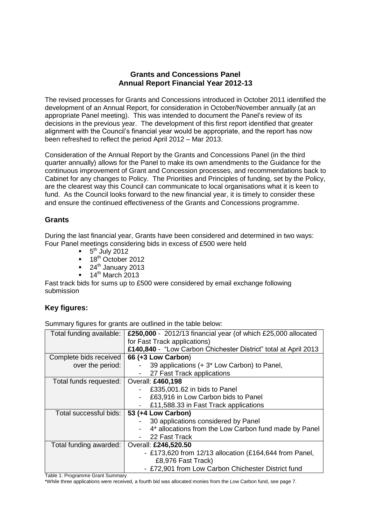#### **Grants and Concessions Panel Annual Report Financial Year 2012-13**

The revised processes for Grants and Concessions introduced in October 2011 identified the development of an Annual Report, for consideration in October/November annually (at an appropriate Panel meeting). This was intended to document the Panel's review of its decisions in the previous year. The development of this first report identified that greater alignment with the Council's financial year would be appropriate, and the report has now been refreshed to reflect the period April 2012 – Mar 2013.

Consideration of the Annual Report by the Grants and Concessions Panel (in the third quarter annually) allows for the Panel to make its own amendments to the Guidance for the continuous improvement of Grant and Concession processes, and recommendations back to Cabinet for any changes to Policy. The Priorities and Principles of funding, set by the Policy, are the clearest way this Council can communicate to local organisations what it is keen to fund. As the Council looks forward to the new financial year, it is timely to consider these and ensure the continued effectiveness of the Grants and Concessions programme.

### **Grants**

During the last financial year, Grants have been considered and determined in two ways: Four Panel meetings considering bids in excess of £500 were held

- $\blacksquare$  5<sup>th</sup> July 2012
- $\blacksquare$  18<sup>th</sup> October 2012
- $\blacksquare$  24<sup>th</sup> January 2013
- $14^{\text{th}}$  March 2013

Fast track bids for sums up to £500 were considered by email exchange following submission

# **Key figures:**

Summary figures for grants are outlined in the table below:

| Total funding available: | £250,000 - 2012/13 financial year (of which £25,000 allocated   |
|--------------------------|-----------------------------------------------------------------|
|                          | for Fast Track applications)                                    |
|                          | £140,840 - "Low Carbon Chichester District" total at April 2013 |
| Complete bids received   | 66 (+3 Low Carbon)                                              |
| over the period:         | 39 applications (+ 3 <sup>*</sup> Low Carbon) to Panel,         |
|                          | 27 Fast Track applications                                      |
| Total funds requested:   | Overall: £460,198                                               |
|                          | £335,001.62 in bids to Panel                                    |
|                          | £63,916 in Low Carbon bids to Panel<br>-                        |
|                          | £11,588.33 in Fast Track applications<br>-                      |
| Total successful bids:   | 53 (+4 Low Carbon)                                              |
|                          | 30 applications considered by Panel                             |
|                          | 4* allocations from the Low Carbon fund made by Panel           |
|                          | 22 Fast Track                                                   |
| Total funding awarded:   | Overall: £246,520.50                                            |
|                          | - £173,620 from 12/13 allocation (£164,644 from Panel,          |
|                          | £8,976 Fast Track)                                              |
|                          | - £72,901 from Low Carbon Chichester District fund              |

Table 1: Programme Grant Summary

\*While three applications were received, a fourth bid was allocated monies from the Low Carbon fund, see page 7.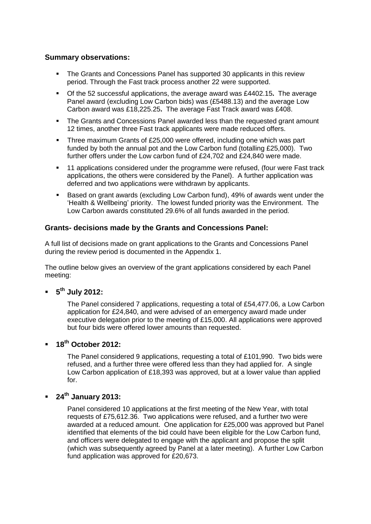#### **Summary observations:**

- The Grants and Concessions Panel has supported 30 applicants in this review period. Through the Fast track process another 22 were supported.
- Of the 52 successful applications, the average award was £4402.15**.** The average Panel award (excluding Low Carbon bids) was (£5488.13) and the average Low Carbon award was £18,225.25**.** The average Fast Track award was £408.
- The Grants and Concessions Panel awarded less than the requested grant amount 12 times, another three Fast track applicants were made reduced offers.
- Three maximum Grants of £25,000 were offered, including one which was part funded by both the annual pot and the Low Carbon fund (totalling £25,000). Two further offers under the Low carbon fund of £24,702 and £24,840 were made.
- 11 applications considered under the programme were refused, (four were Fast track applications, the others were considered by the Panel). A further application was deferred and two applications were withdrawn by applicants.
- Based on grant awards (excluding Low Carbon fund), 49% of awards went under the 'Health & Wellbeing' priority. The lowest funded priority was the Environment. The Low Carbon awards constituted 29.6% of all funds awarded in the period.

#### **Grants- decisions made by the Grants and Concessions Panel:**

A full list of decisions made on grant applications to the Grants and Concessions Panel during the review period is documented in the Appendix 1.

The outline below gives an overview of the grant applications considered by each Panel meeting:

## **5 th July 2012:**

The Panel considered 7 applications, requesting a total of £54,477.06, a Low Carbon application for £24,840, and were advised of an emergency award made under executive delegation prior to the meeting of £15,000. All applications were approved but four bids were offered lower amounts than requested.

### **18th October 2012:**

The Panel considered 9 applications, requesting a total of £101,990. Two bids were refused, and a further three were offered less than they had applied for. A single Low Carbon application of £18,393 was approved, but at a lower value than applied for.

### **24th January 2013:**

Panel considered 10 applications at the first meeting of the New Year, with total requests of £75,612.36. Two applications were refused, and a further two were awarded at a reduced amount. One application for £25,000 was approved but Panel identified that elements of the bid could have been eligible for the Low Carbon fund, and officers were delegated to engage with the applicant and propose the split (which was subsequently agreed by Panel at a later meeting). A further Low Carbon fund application was approved for £20,673.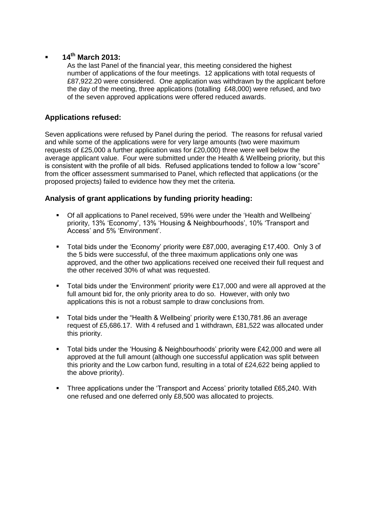# **14th March 2013:**

As the last Panel of the financial year, this meeting considered the highest number of applications of the four meetings. 12 applications with total requests of £87,922.20 were considered. One application was withdrawn by the applicant before the day of the meeting, three applications (totalling £48,000) were refused, and two of the seven approved applications were offered reduced awards.

## **Applications refused:**

Seven applications were refused by Panel during the period. The reasons for refusal varied and while some of the applications were for very large amounts (two were maximum requests of £25,000 a further application was for £20,000) three were well below the average applicant value. Four were submitted under the Health & Wellbeing priority, but this is consistent with the profile of all bids. Refused applications tended to follow a low "score" from the officer assessment summarised to Panel, which reflected that applications (or the proposed projects) failed to evidence how they met the criteria.

### **Analysis of grant applications by funding priority heading:**

- Of all applications to Panel received, 59% were under the 'Health and Wellbeing' priority, 13% 'Economy', 13% 'Housing & Neighbourhoods', 10% 'Transport and Access' and 5% 'Environment'.
- Total bids under the 'Economy' priority were £87,000, averaging £17,400. Only 3 of the 5 bids were successful, of the three maximum applications only one was approved, and the other two applications received one received their full request and the other received 30% of what was requested.
- Total bids under the 'Environment' priority were £17,000 and were all approved at the full amount bid for, the only priority area to do so. However, with only two applications this is not a robust sample to draw conclusions from.
- Total bids under the "Health & Wellbeing' priority were £130,781.86 an average request of £5,686.17. With 4 refused and 1 withdrawn, £81,522 was allocated under this priority.
- Total bids under the 'Housing & Neighbourhoods' priority were £42,000 and were all approved at the full amount (although one successful application was split between this priority and the Low carbon fund, resulting in a total of £24,622 being applied to the above priority).
- Three applications under the 'Transport and Access' priority totalled £65,240. With one refused and one deferred only £8,500 was allocated to projects.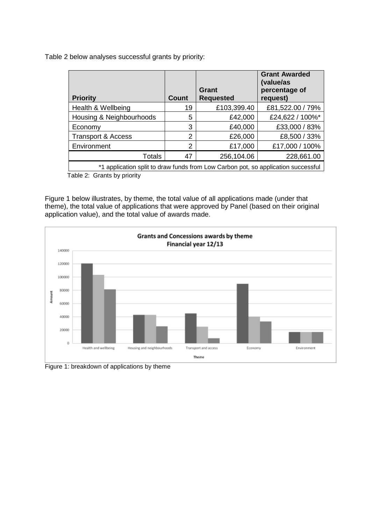Table 2 below analyses successful grants by priority:

| <b>Priority</b>                                                                   | Count | Grant<br><b>Requested</b> | <b>Grant Awarded</b><br>(value/as<br>percentage of<br>request) |  |
|-----------------------------------------------------------------------------------|-------|---------------------------|----------------------------------------------------------------|--|
| Health & Wellbeing                                                                | 19    | £103,399.40               | £81,522.00 / 79%                                               |  |
| Housing & Neighbourhoods                                                          | 5     | £42,000                   | £24,622 / 100%*                                                |  |
| Economy                                                                           | 3     | £40,000                   | £33,000 / 83%                                                  |  |
| <b>Transport &amp; Access</b>                                                     | 2     | £26,000                   | £8,500 / 33%                                                   |  |
| Environment                                                                       | 2     | £17,000                   | £17,000 / 100%                                                 |  |
| Totals                                                                            | 47    | 256,104.06                | 228,661.00                                                     |  |
| *1 application split to draw funds from Low Carbon pot, so application successful |       |                           |                                                                |  |

Table 2: Grants by priority

Figure 1 below illustrates, by theme, the total value of all applications made (under that theme), the total value of applications that were approved by Panel (based on their original application value), and the total value of awards made.



Figure 1: breakdown of applications by theme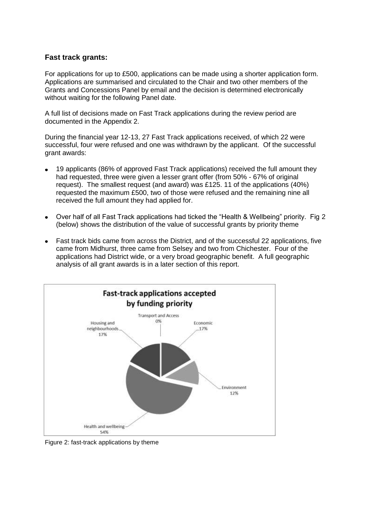#### **Fast track grants:**

For applications for up to £500, applications can be made using a shorter application form. Applications are summarised and circulated to the Chair and two other members of the Grants and Concessions Panel by email and the decision is determined electronically without waiting for the following Panel date.

A full list of decisions made on Fast Track applications during the review period are documented in the Appendix 2.

During the financial year 12-13, 27 Fast Track applications received, of which 22 were successful, four were refused and one was withdrawn by the applicant. Of the successful grant awards:

- 19 applicants (86% of approved Fast Track applications) received the full amount they had requested, three were given a lesser grant offer (from 50% - 67% of original request). The smallest request (and award) was £125. 11 of the applications (40%) requested the maximum £500, two of those were refused and the remaining nine all received the full amount they had applied for.
- Over half of all Fast Track applications had ticked the "Health & Wellbeing" priority. Fig 2 (below) shows the distribution of the value of successful grants by priority theme
- Fast track bids came from across the District, and of the successful 22 applications, five came from Midhurst, three came from Selsey and two from Chichester. Four of the applications had District wide, or a very broad geographic benefit. A full geographic analysis of all grant awards is in a later section of this report.



Figure 2: fast-track applications by theme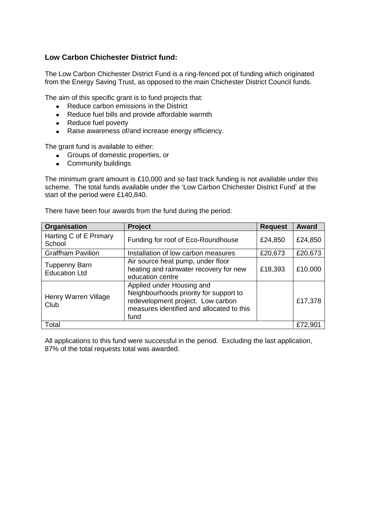## **Low Carbon Chichester District fund:**

The Low Carbon Chichester District Fund is a ring-fenced pot of funding which originated from the Energy Saving Trust, as opposed to the main Chichester District Council funds.

The aim of this specific grant is to fund projects that:

- Reduce carbon emissions in the District
- $\bullet$ Reduce fuel bills and provide affordable warmth
- Reduce fuel poverty  $\bullet$
- Raise awareness of/and increase energy efficiency.  $\bullet$

The grant fund is available to either:

- Groups of domestic properties, or  $\bullet$
- Community buildings

The minimum grant amount is £10,000 and so fast track funding is not available under this scheme. The total funds available under the 'Low Carbon Chichester District Fund' at the start of the period were £140,840.

| Organisation                                 | Project                                                                                                                                                       | <b>Request</b> | Award   |
|----------------------------------------------|---------------------------------------------------------------------------------------------------------------------------------------------------------------|----------------|---------|
| Harting C of E Primary<br>School             | Funding for roof of Eco-Roundhouse                                                                                                                            | £24,850        | £24,850 |
| <b>Graffham Pavilion</b>                     | Installation of low carbon measures                                                                                                                           | £20,673        | £20,673 |
| <b>Tuppenny Barn</b><br><b>Education Ltd</b> | Air source heat pump, under floor<br>heating and rainwater recovery for new<br>education centre                                                               | £18,393        | £10,000 |
| Henry Warren Village<br>Club                 | Applied under Housing and<br>Neighbourhoods priority for support to<br>redevelopment project. Low carbon<br>measures identified and allocated to this<br>fund |                | £17,378 |
| Total                                        |                                                                                                                                                               |                | £72,901 |

There have been four awards from the fund during the period:

All applications to this fund were successful in the period. Excluding the last application, 87% of the total requests total was awarded.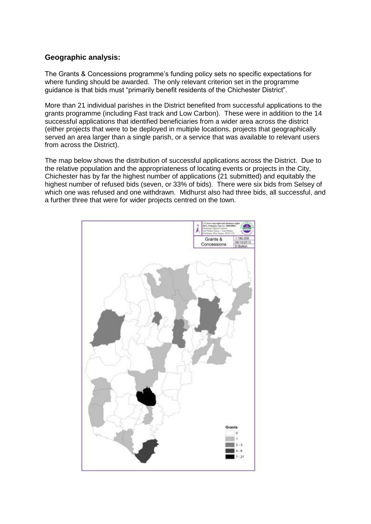### **Geographic analysis:**

The Grants & Concessions programme's funding policy sets no specific expectations for where funding should be awarded. The only relevant criterion set in the programme guidance is that bids must "primarily benefit residents of the Chichester District".

More than 21 individual parishes in the District benefited from successful applications to the grants programme (including Fast track and Low Carbon). These were in addition to the 14 successful applications that identified beneficiaries from a wider area across the district (either projects that were to be deployed in multiple locations, projects that geographically served an area larger than a single parish, or a service that was available to relevant users from across the District).

The map below shows the distribution of successful applications across the District. Due to the relative population and the appropriateness of locating events or projects in the City, Chichester has by far the highest number of applications (21 submitted) and equitably the highest number of refused bids (seven, or 33% of bids). There were six bids from Selsey of which one was refused and one withdrawn. Midhurst also had three bids, all successful, and a further three that were for wider projects centred on the town.

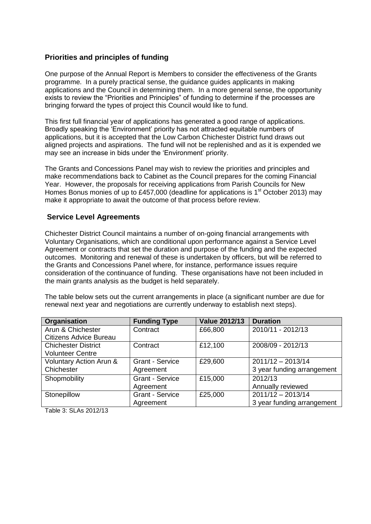### **Priorities and principles of funding**

One purpose of the Annual Report is Members to consider the effectiveness of the Grants programme. In a purely practical sense, the guidance guides applicants in making applications and the Council in determining them. In a more general sense, the opportunity exists to review the "Priorities and Principles" of funding to determine if the processes are bringing forward the types of project this Council would like to fund.

This first full financial year of applications has generated a good range of applications. Broadly speaking the 'Environment' priority has not attracted equitable numbers of applications, but it is accepted that the Low Carbon Chichester District fund draws out aligned projects and aspirations. The fund will not be replenished and as it is expended we may see an increase in bids under the 'Environment' priority.

The Grants and Concessions Panel may wish to review the priorities and principles and make recommendations back to Cabinet as the Council prepares for the coming Financial Year. However, the proposals for receiving applications from Parish Councils for New Homes Bonus monies of up to £457,000 (deadline for applications is  $1<sup>st</sup>$  October 2013) may make it appropriate to await the outcome of that process before review.

#### **Service Level Agreements**

Chichester District Council maintains a number of on-going financial arrangements with Voluntary Organisations, which are conditional upon performance against a Service Level Agreement or contracts that set the duration and purpose of the funding and the expected outcomes. Monitoring and renewal of these is undertaken by officers, but will be referred to the Grants and Concessions Panel where, for instance, performance issues require consideration of the continuance of funding. These organisations have not been included in the main grants analysis as the budget is held separately.

The table below sets out the current arrangements in place (a significant number are due for renewal next year and negotiations are currently underway to establish next steps).

| Organisation                       | <b>Funding Type</b>    | <b>Value 2012/13</b> | <b>Duration</b>            |
|------------------------------------|------------------------|----------------------|----------------------------|
| Arun & Chichester                  | Contract               | £66,800              | 2010/11 - 2012/13          |
| Citizens Advice Bureau             |                        |                      |                            |
| <b>Chichester District</b>         | Contract               | £12,100              | 2008/09 - 2012/13          |
| <b>Volunteer Centre</b>            |                        |                      |                            |
| <b>Voluntary Action Arun &amp;</b> | <b>Grant - Service</b> | £29,600              | $2011/12 - 2013/14$        |
| Chichester                         | Agreement              |                      | 3 year funding arrangement |
| Shopmobility                       | <b>Grant - Service</b> | £15,000              | 2012/13                    |
|                                    | Agreement              |                      | Annually reviewed          |
| Stonepillow                        | <b>Grant - Service</b> | £25,000              | $2011/12 - 2013/14$        |
|                                    | Agreement              |                      | 3 year funding arrangement |

Table 3: SLAs 2012/13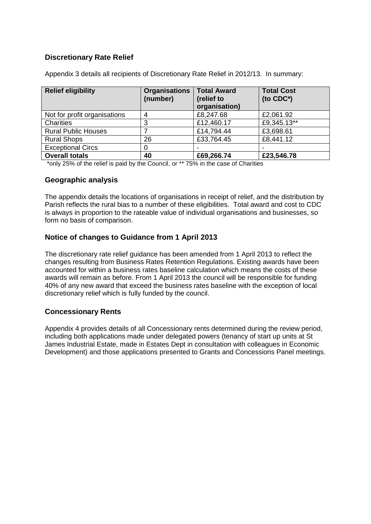# **Discretionary Rate Relief**

| <b>Relief eligibility</b>    | <b>Organisations</b><br>(number) | <b>Total Award</b><br>(relief to<br>organisation) | <b>Total Cost</b><br>(to $CDC^*$ ) |
|------------------------------|----------------------------------|---------------------------------------------------|------------------------------------|
| Not for profit organisations |                                  | £8,247.68                                         | £2,061.92                          |
| Charities                    | 3                                | £12,460.17                                        | £9,345.13**                        |
| <b>Rural Public Houses</b>   |                                  | £14,794.44                                        | £3,698.61                          |
| <b>Rural Shops</b>           | 26                               | £33,764.45                                        | £8,441.12                          |
| <b>Exceptional Circs</b>     |                                  | -                                                 |                                    |
| <b>Overall totals</b>        | 40                               | £69,266.74                                        | £23,546.78                         |

Appendix 3 details all recipients of Discretionary Rate Relief in 2012/13. In summary:

\*only 25% of the relief is paid by the Council, or \*\* 75% in the case of Charities

#### **Geographic analysis**

The appendix details the locations of organisations in receipt of relief, and the distribution by Parish reflects the rural bias to a number of these eligibilities. Total award and cost to CDC is always in proportion to the rateable value of individual organisations and businesses, so form no basis of comparison.

### **Notice of changes to Guidance from 1 April 2013**

The discretionary rate relief guidance has been amended from 1 April 2013 to reflect the changes resulting from Business Rates Retention Regulations. Existing awards have been accounted for within a business rates baseline calculation which means the costs of these awards will remain as before. From 1 April 2013 the council will be responsible for funding 40% of any new award that exceed the business rates baseline with the exception of local discretionary relief which is fully funded by the council.

### **Concessionary Rents**

Appendix 4 provides details of all Concessionary rents determined during the review period, including both applications made under delegated powers (tenancy of start up units at St James Industrial Estate, made in Estates Dept in consultation with colleagues in Economic Development) and those applications presented to Grants and Concessions Panel meetings.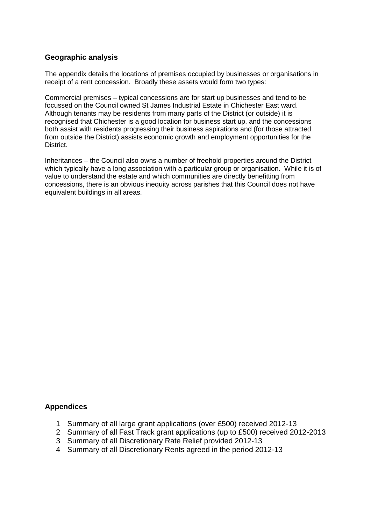### **Geographic analysis**

The appendix details the locations of premises occupied by businesses or organisations in receipt of a rent concession. Broadly these assets would form two types:

Commercial premises – typical concessions are for start up businesses and tend to be focussed on the Council owned St James Industrial Estate in Chichester East ward. Although tenants may be residents from many parts of the District (or outside) it is recognised that Chichester is a good location for business start up, and the concessions both assist with residents progressing their business aspirations and (for those attracted from outside the District) assists economic growth and employment opportunities for the District.

Inheritances – the Council also owns a number of freehold properties around the District which typically have a long association with a particular group or organisation. While it is of value to understand the estate and which communities are directly benefitting from concessions, there is an obvious inequity across parishes that this Council does not have equivalent buildings in all areas.

### **Appendices**

- 1 Summary of all large grant applications (over £500) received 2012-13
- 2 Summary of all Fast Track grant applications (up to £500) received 2012-2013
- 3 Summary of all Discretionary Rate Relief provided 2012-13
- 4 Summary of all Discretionary Rents agreed in the period 2012-13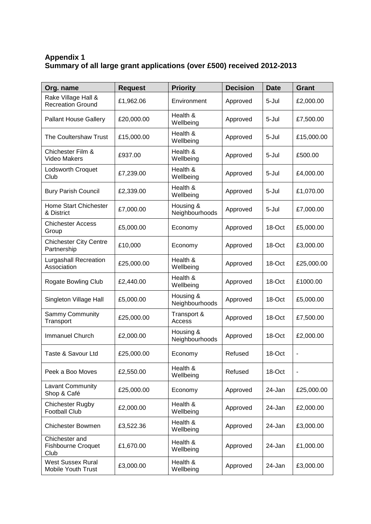# **Appendix 1 Summary of all large grant applications (over £500) received 2012-2013**

| Org. name                                           | <b>Request</b> | <b>Priority</b>             | <b>Decision</b> | <b>Date</b> | <b>Grant</b> |
|-----------------------------------------------------|----------------|-----------------------------|-----------------|-------------|--------------|
| Rake Village Hall &<br><b>Recreation Ground</b>     | £1,962.06      | Environment                 | Approved        | 5-Jul       | £2,000.00    |
| <b>Pallant House Gallery</b>                        | £20,000.00     | Health &<br>Wellbeing       | Approved        | 5-Jul       | £7,500.00    |
| The Coultershaw Trust                               | £15,000.00     | Health &<br>Wellbeing       | Approved        | 5-Jul       | £15,000.00   |
| Chichester Film &<br><b>Video Makers</b>            | £937.00        | Health &<br>Wellbeing       | Approved        | 5-Jul       | £500.00      |
| Lodsworth Croquet<br>Club                           | £7,239.00      | Health &<br>Wellbeing       | Approved        | 5-Jul       | £4,000.00    |
| <b>Bury Parish Council</b>                          | £2,339.00      | Health &<br>Wellbeing       | Approved        | 5-Jul       | £1,070.00    |
| Home Start Chichester<br>& District                 | £7,000.00      | Housing &<br>Neighbourhoods | Approved        | 5-Jul       | £7,000.00    |
| <b>Chichester Access</b><br>Group                   | £5,000.00      | Economy                     | Approved        | 18-Oct      | £5,000.00    |
| <b>Chichester City Centre</b><br>Partnership        | £10,000        | Economy                     | Approved        | 18-Oct      | £3,000.00    |
| <b>Lurgashall Recreation</b><br>Association         | £25,000.00     | Health &<br>Wellbeing       | Approved        | 18-Oct      | £25,000.00   |
| <b>Rogate Bowling Club</b>                          | £2,440.00      | Health &<br>Wellbeing       | Approved        | 18-Oct      | £1000.00     |
| Singleton Village Hall                              | £5,000.00      | Housing &<br>Neighbourhoods | Approved        | 18-Oct      | £5,000.00    |
| Sammy Community<br>Transport                        | £25,000.00     | Transport &<br>Access       | Approved        | 18-Oct      | £7,500.00    |
| Immanuel Church                                     | £2,000.00      | Housing &<br>Neighbourhoods | Approved        | 18-Oct      | £2,000.00    |
| Taste & Savour Ltd                                  | £25,000.00     | Economy                     | Refused         | 18-Oct      |              |
| Peek a Boo Moves                                    | £2,550.00      | Health &<br>Wellbeing       | Refused         | 18-Oct      | ۰            |
| Lavant Community<br>Shop & Café                     | £25,000.00     | Economy                     | Approved        | 24-Jan      | £25,000.00   |
| <b>Chichester Rugby</b><br><b>Football Club</b>     | £2,000.00      | Health &<br>Wellbeing       | Approved        | 24-Jan      | £2,000.00    |
| <b>Chichester Bowmen</b>                            | £3,522.36      | Health &<br>Wellbeing       | Approved        | 24-Jan      | £3,000.00    |
| Chichester and<br><b>Fishbourne Croquet</b><br>Club | £1,670.00      | Health &<br>Wellbeing       | Approved        | 24-Jan      | £1,000.00    |
| <b>West Sussex Rural</b><br>Mobile Youth Trust      | £3,000.00      | Health &<br>Wellbeing       | Approved        | 24-Jan      | £3,000.00    |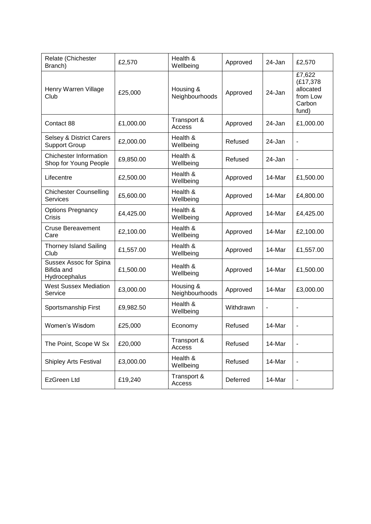| Relate (Chichester<br>Branch)                                | £2,570    | Health &<br>Wellbeing       | Approved  | 24-Jan         | £2,570                                                         |
|--------------------------------------------------------------|-----------|-----------------------------|-----------|----------------|----------------------------------------------------------------|
| Henry Warren Village<br>Club                                 | £25,000   | Housing &<br>Neighbourhoods | Approved  | 24-Jan         | £7,622<br>(£17,378<br>allocated<br>from Low<br>Carbon<br>fund) |
| Contact 88                                                   | £1,000.00 | Transport &<br>Access       | Approved  | 24-Jan         | £1,000.00                                                      |
| <b>Selsey &amp; District Carers</b><br><b>Support Group</b>  | £2,000.00 | Health &<br>Wellbeing       | Refused   | 24-Jan         | ٠                                                              |
| <b>Chichester Information</b><br>Shop for Young People       | £9,850.00 | Health &<br>Wellbeing       | Refused   | 24-Jan         |                                                                |
| Lifecentre                                                   | £2,500.00 | Health &<br>Wellbeing       | Approved  | 14-Mar         | £1,500.00                                                      |
| <b>Chichester Counselling</b><br><b>Services</b>             | £5,600.00 | Health &<br>Wellbeing       | Approved  | 14-Mar         | £4,800.00                                                      |
| <b>Options Pregnancy</b><br>Crisis                           | £4,425.00 | Health &<br>Wellbeing       | Approved  | 14-Mar         | £4,425.00                                                      |
| <b>Cruse Bereavement</b><br>Care                             | £2,100.00 | Health &<br>Wellbeing       | Approved  | 14-Mar         | £2,100.00                                                      |
| <b>Thorney Island Sailing</b><br>Club                        | £1,557.00 | Health &<br>Wellbeing       | Approved  | 14-Mar         | £1,557.00                                                      |
| Sussex Assoc for Spina<br><b>Bifida and</b><br>Hydrocephalus | £1,500.00 | Health &<br>Wellbeing       | Approved  | 14-Mar         | £1,500.00                                                      |
| <b>West Sussex Mediation</b><br>Service                      | £3,000.00 | Housing &<br>Neighbourhoods | Approved  | 14-Mar         | £3,000.00                                                      |
| Sportsmanship First                                          | £9,982.50 | Health &<br>Wellbeing       | Withdrawn | $\blacksquare$ | ٠                                                              |
| Women's Wisdom                                               | £25,000   | Economy                     | Refused   | 14-Mar         | ۰                                                              |
| The Point, Scope W Sx                                        | £20,000   | Transport &<br>Access       | Refused   | 14-Mar         |                                                                |
| <b>Shipley Arts Festival</b>                                 | £3,000.00 | Health &<br>Wellbeing       | Refused   | 14-Mar         |                                                                |
| <b>EzGreen Ltd</b>                                           | £19,240   | Transport &<br>Access       | Deferred  | 14-Mar         |                                                                |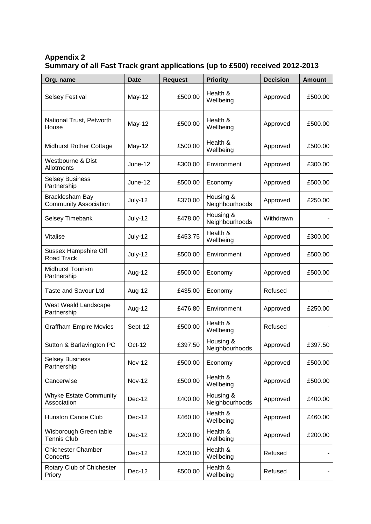# **Appendix 2 Summary of all Fast Track grant applications (up to £500) received 2012-2013**

| Org. name                                        | <b>Date</b>   | <b>Request</b> | <b>Priority</b>             | <b>Decision</b> | <b>Amount</b> |
|--------------------------------------------------|---------------|----------------|-----------------------------|-----------------|---------------|
| <b>Selsey Festival</b>                           | May-12        | £500.00        | Health &<br>Wellbeing       | Approved        | £500.00       |
| National Trust, Petworth<br>House                | May-12        | £500.00        | Health &<br>Wellbeing       | Approved        | £500.00       |
| <b>Midhurst Rother Cottage</b>                   | May-12        | £500.00        | Health &<br>Wellbeing       | Approved        | £500.00       |
| <b>Westbourne &amp; Dist</b><br>Allotments       | June-12       | £300.00        | Environment                 | Approved        | £300.00       |
| <b>Selsey Business</b><br>Partnership            | June-12       | £500.00        | Economy                     | Approved        | £500.00       |
| Bracklesham Bay<br><b>Community Association</b>  | July-12       | £370.00        | Housing &<br>Neighbourhoods | Approved        | £250.00       |
| Selsey Timebank                                  | July-12       | £478.00        | Housing &<br>Neighbourhoods | Withdrawn       |               |
| Vitalise                                         | July-12       | £453.75        | Health &<br>Wellbeing       | Approved        | £300.00       |
| <b>Sussex Hampshire Off</b><br><b>Road Track</b> | July-12       | £500.00        | Environment                 | Approved        | £500.00       |
| <b>Midhurst Tourism</b><br>Partnership           | Aug-12        | £500.00        | Economy                     | Approved        | £500.00       |
| <b>Taste and Savour Ltd</b>                      | Aug-12        | £435.00        | Economy                     | Refused         |               |
| West Weald Landscape<br>Partnership              | Aug-12        | £476.80        | Environment                 | Approved        | £250.00       |
| <b>Graffham Empire Movies</b>                    | Sept-12       | £500.00        | Health &<br>Wellbeing       | Refused         |               |
| Sutton & Barlavington PC                         | Oct-12        | £397.50        | Housing &<br>Neighbourhoods | Approved        | £397.50       |
| <b>Selsey Business</b><br>Partnership            | <b>Nov-12</b> | £500.00        | Economy                     | Approved        | £500.00       |
| Cancerwise                                       | <b>Nov-12</b> | £500.00        | Health &<br>Wellbeing       | Approved        | £500.00       |
| <b>Whyke Estate Community</b><br>Association     | <b>Dec-12</b> | £400.00        | Housing &<br>Neighbourhoods | Approved        | £400.00       |
| <b>Hunston Canoe Club</b>                        | Dec-12        | £460.00        | Health &<br>Wellbeing       | Approved        | £460.00       |
| Wisborough Green table<br><b>Tennis Club</b>     | Dec-12        | £200.00        | Health &<br>Wellbeing       | Approved        | £200.00       |
| <b>Chichester Chamber</b><br>Concerts            | Dec-12        | £200.00        | Health &<br>Wellbeing       | Refused         |               |
| Rotary Club of Chichester<br>Priory              | Dec-12        | £500.00        | Health &<br>Wellbeing       | Refused         |               |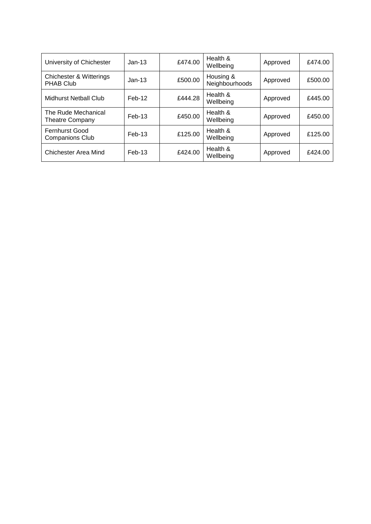| University of Chichester                        | $Jan-13$ | £474.00 | Health &<br>Wellbeing       | Approved | £474.00 |
|-------------------------------------------------|----------|---------|-----------------------------|----------|---------|
| Chichester & Witterings<br><b>PHAB Club</b>     | $Jan-13$ | £500.00 | Housing &<br>Neighbourhoods | Approved | £500.00 |
| <b>Midhurst Netball Club</b>                    | $Feb-12$ | £444.28 | Health &<br>Wellbeing       | Approved | £445.00 |
| The Rude Mechanical<br>Theatre Company          | $Feb-13$ | £450.00 | Health &<br>Wellbeing       | Approved | £450.00 |
| <b>Fernhurst Good</b><br><b>Companions Club</b> | $Feb-13$ | £125.00 | Health &<br>Wellbeing       | Approved | £125.00 |
| Chichester Area Mind                            | $Feb-13$ | £424.00 | Health &<br>Wellbeing       | Approved | £424.00 |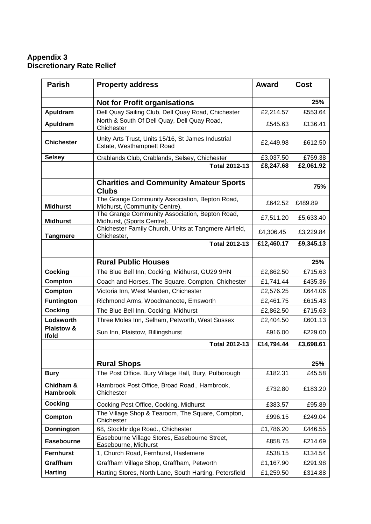## **Appendix 3 Discretionary Rate Relief**

| <b>Parish</b>                      | <b>Property address</b>                                                         | <b>Award</b> | <b>Cost</b> |
|------------------------------------|---------------------------------------------------------------------------------|--------------|-------------|
|                                    |                                                                                 |              |             |
|                                    | <b>Not for Profit organisations</b>                                             |              | 25%         |
| Apuldram                           | Dell Quay Sailing Club, Dell Quay Road, Chichester                              | £2,214.57    | £553.64     |
| Apuldram                           | North & South Of Dell Quay, Dell Quay Road,<br>Chichester                       | £545.63      | £136.41     |
| <b>Chichester</b>                  | Unity Arts Trust, Units 15/16, St James Industrial<br>Estate, Westhampnett Road | £2,449.98    | £612.50     |
| <b>Selsey</b>                      | Crablands Club, Crablands, Selsey, Chichester                                   | £3,037.50    | £759.38     |
|                                    | <b>Total 2012-13</b>                                                            | £8,247.68    | £2,061.92   |
|                                    | <b>Charities and Community Amateur Sports</b><br><b>Clubs</b>                   |              | 75%         |
| <b>Midhurst</b>                    | The Grange Community Association, Bepton Road,<br>Midhurst, (Community Centre). | £642.52      | £489.89     |
| <b>Midhurst</b>                    | The Grange Community Association, Bepton Road,<br>Midhurst, (Sports Centre).    | £7,511.20    | £5,633.40   |
| <b>Tangmere</b>                    | Chichester Family Church, Units at Tangmere Airfield,<br>Chichester,            | £4,306.45    | £3,229.84   |
|                                    | <b>Total 2012-13</b>                                                            | £12,460.17   | £9,345.13   |
|                                    |                                                                                 |              |             |
|                                    | <b>Rural Public Houses</b>                                                      |              | 25%         |
| <b>Cocking</b>                     | The Blue Bell Inn, Cocking, Midhurst, GU29 9HN                                  | £2,862.50    | £715.63     |
| Compton                            | Coach and Horses, The Square, Compton, Chichester                               | £1,741.44    | £435.36     |
| <b>Compton</b>                     | Victoria Inn, West Marden, Chichester                                           | £2,576.25    | £644.06     |
| <b>Funtington</b>                  | Richmond Arms, Woodmancote, Emsworth                                            | £2,461.75    | £615.43     |
| <b>Cocking</b>                     | The Blue Bell Inn, Cocking, Midhurst                                            | £2,862.50    | £715.63     |
| Lodsworth<br><b>Plaistow &amp;</b> | Three Moles Inn, Selham, Petworth, West Sussex                                  | £2,404.50    | £601.13     |
| <b>Ifold</b>                       | Sun Inn, Plaistow, Billingshurst                                                | £916.00      | £229.00     |
|                                    | <b>Total 2012-13</b>                                                            | £14,794.44   | £3,698.61   |
|                                    | <b>Rural Shops</b>                                                              |              | 25%         |
| <b>Bury</b>                        | The Post Office. Bury Village Hall, Bury, Pulborough                            | £182.31      | £45.58      |
| Chidham &<br><b>Hambrook</b>       | Hambrook Post Office, Broad Road., Hambrook,<br>Chichester                      | £732.80      | £183.20     |
| Cocking                            | Cocking Post Office, Cocking, Midhurst                                          | £383.57      | £95.89      |
| Compton                            | The Village Shop & Tearoom, The Square, Compton,<br>Chichester                  | £996.15      | £249.04     |
| <b>Donnington</b>                  | 68, Stockbridge Road., Chichester                                               | £1,786.20    | £446.55     |
| <b>Easebourne</b>                  | Easebourne Village Stores, Easebourne Street,<br>Easebourne, Midhurst           | £858.75      | £214.69     |
| <b>Fernhurst</b>                   | 1, Church Road, Fernhurst, Haslemere                                            | £538.15      | £134.54     |
| Graffham                           | Graffham Village Shop, Graffham, Petworth                                       | £1,167.90    | £291.98     |
| <b>Harting</b>                     | Harting Stores, North Lane, South Harting, Petersfield                          | £1,259.50    | £314.88     |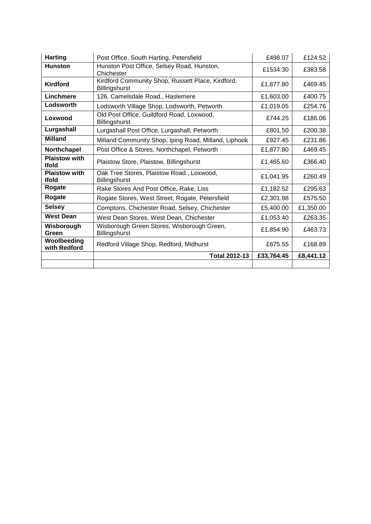| <b>Harting</b>                       | Post Office, South Harting, Petersfield                            | £498.07    | £124.52   |
|--------------------------------------|--------------------------------------------------------------------|------------|-----------|
| <b>Hunston</b>                       | Hunston Post Office, Selsey Road, Hunston,<br>Chichester           | £1534.30   | £383.58   |
| <b>Kirdford</b>                      | Kirdford Community Shop, Russett Place, Kirdford,<br>Billingshurst | £1,877.80  | £469.45   |
| Linchmere                            | 126, Camelsdale Road., Haslemere                                   | £1,603.00  | £400.75   |
| Lodsworth                            | Lodsworth Village Shop, Lodsworth, Petworth                        | £1,019.05  | £254.76   |
| Loxwood                              | Old Post Office, Guildford Road, Loxwood,<br>Billingshurst         | £744.25    | £186.06   |
| Lurgashall                           | Lurgashall Post Office, Lurgashall, Petworth                       | £801.50    | £200.38   |
| <b>Milland</b>                       | Milland Community Shop, Iping Road, Milland, Liphook               | £927.45    | £231.86   |
| Northchapel                          | Post Office & Stores, Northchapel, Petworth                        | £1,877.80  | £469.45   |
| <b>Plaistow with</b><br><b>Ifold</b> | Plaistow Store, Plaistow, Billingshurst                            | £1,465.60  | £366.40   |
| <b>Plaistow with</b><br><b>Ifold</b> | Oak Tree Stores, Plaistow Road., Loxwood,<br>Billingshurst         | £1,041.95  | £260.49   |
| Rogate                               | Rake Stores And Post Office, Rake, Liss                            | £1,182.52  | £295.63   |
| Rogate                               | Rogate Stores, West Street, Rogate, Petersfield                    | £2,301.98  | £575.50   |
| <b>Selsey</b>                        | Comptons, Chichester Road, Selsey, Chichester                      | £5,400.00  | £1,350.00 |
| <b>West Dean</b>                     | West Dean Stores, West Dean, Chichester                            | £1,053.40  | £263.35   |
| Wisborough<br>Green                  | Wisborough Green Stores, Wisborough Green,<br>Billingshurst        | £1,854.90  | £463.73   |
| Woolbeeding<br>with Redford          | Redford Village Shop, Redford, Midhurst                            | £675.55    | £168.89   |
|                                      | <b>Total 2012-13</b>                                               | £33,764.45 | £8,441.12 |
|                                      |                                                                    |            |           |